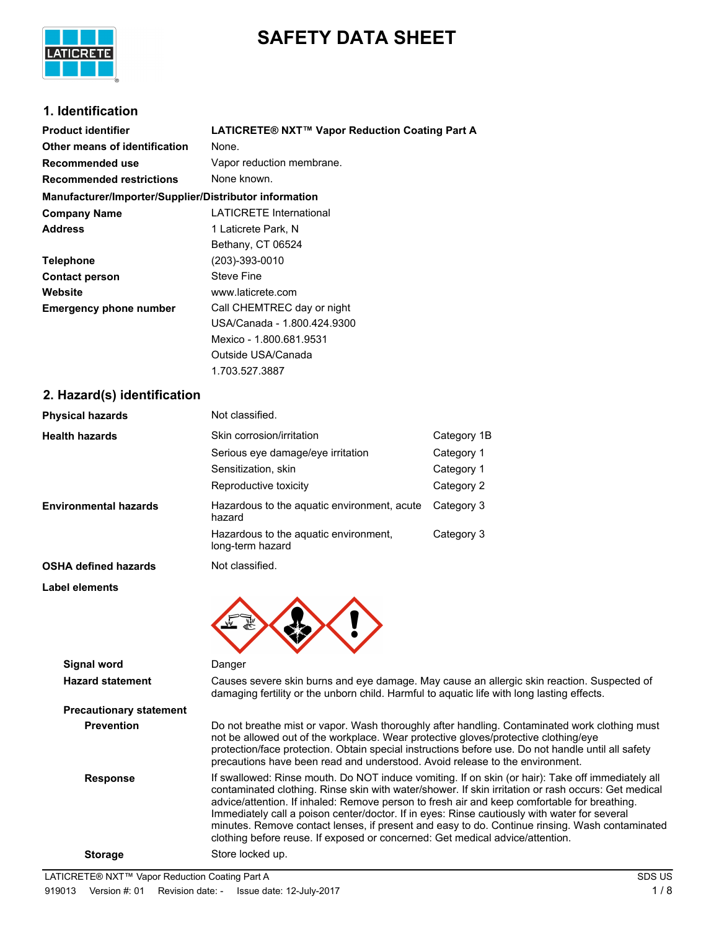

# **SAFETY DATA SHEET**

# **1. Identification**

| <b>Product identifier</b>                              | LATICRETE® NXT™ Vapor Reduction Coating Part A |
|--------------------------------------------------------|------------------------------------------------|
| Other means of identification                          | None.                                          |
| Recommended use                                        | Vapor reduction membrane.                      |
| <b>Recommended restrictions</b>                        | None known.                                    |
| Manufacturer/Importer/Supplier/Distributor information |                                                |
| <b>Company Name</b>                                    | <b>LATICRETE International</b>                 |
| <b>Address</b>                                         | 1 Laticrete Park, N                            |
|                                                        | Bethany, CT 06524                              |
| <b>Telephone</b>                                       | (203)-393-0010                                 |
| <b>Contact person</b>                                  | <b>Steve Fine</b>                              |
| Website                                                | www.laticrete.com                              |
| <b>Emergency phone number</b>                          | Call CHEMTREC day or night                     |
|                                                        | USA/Canada - 1.800.424.9300                    |
|                                                        | Mexico - 1.800.681.9531                        |
|                                                        | Outside USA/Canada                             |
|                                                        | 1.703.527.3887                                 |

## **2. Hazard(s) identification**

| <b>Physical hazards</b>      | Not classified.                                           |             |
|------------------------------|-----------------------------------------------------------|-------------|
| <b>Health hazards</b>        | Skin corrosion/irritation                                 | Category 1B |
|                              | Serious eye damage/eye irritation                         | Category 1  |
|                              | Sensitization, skin                                       | Category 1  |
|                              | Reproductive toxicity                                     | Category 2  |
| <b>Environmental hazards</b> | Hazardous to the aquatic environment, acute<br>hazard     | Category 3  |
|                              | Hazardous to the aquatic environment,<br>long-term hazard | Category 3  |
| <b>OSHA defined hazards</b>  | Not classified.                                           |             |
| Label elements               |                                                           |             |
| Signal word                  | Danger                                                    |             |
| Hazard etatomont             | Causes severe skip burns and eve damage. May cause an a   |             |

| <b>Hazard statement</b>        | Causes severe skin burns and eye damage. May cause an allergic skin reaction. Suspected of<br>damaging fertility or the unborn child. Harmful to aquatic life with long lasting effects.                                                                                                                                                                                                                                                                                                                                                                                                    |
|--------------------------------|---------------------------------------------------------------------------------------------------------------------------------------------------------------------------------------------------------------------------------------------------------------------------------------------------------------------------------------------------------------------------------------------------------------------------------------------------------------------------------------------------------------------------------------------------------------------------------------------|
| <b>Precautionary statement</b> |                                                                                                                                                                                                                                                                                                                                                                                                                                                                                                                                                                                             |
| <b>Prevention</b>              | Do not breathe mist or vapor. Wash thoroughly after handling. Contaminated work clothing must<br>not be allowed out of the workplace. Wear protective gloves/protective clothing/eye<br>protection/face protection. Obtain special instructions before use. Do not handle until all safety<br>precautions have been read and understood. Avoid release to the environment.                                                                                                                                                                                                                  |
| <b>Response</b>                | If swallowed: Rinse mouth. Do NOT induce vomiting. If on skin (or hair): Take off immediately all<br>contaminated clothing. Rinse skin with water/shower. If skin irritation or rash occurs: Get medical<br>advice/attention. If inhaled: Remove person to fresh air and keep comfortable for breathing.<br>Immediately call a poison center/doctor. If in eyes: Rinse cautiously with water for several<br>minutes. Remove contact lenses, if present and easy to do. Continue rinsing. Wash contaminated<br>clothing before reuse. If exposed or concerned: Get medical advice/attention. |
| <b>Storage</b>                 | Store locked up.                                                                                                                                                                                                                                                                                                                                                                                                                                                                                                                                                                            |
|                                |                                                                                                                                                                                                                                                                                                                                                                                                                                                                                                                                                                                             |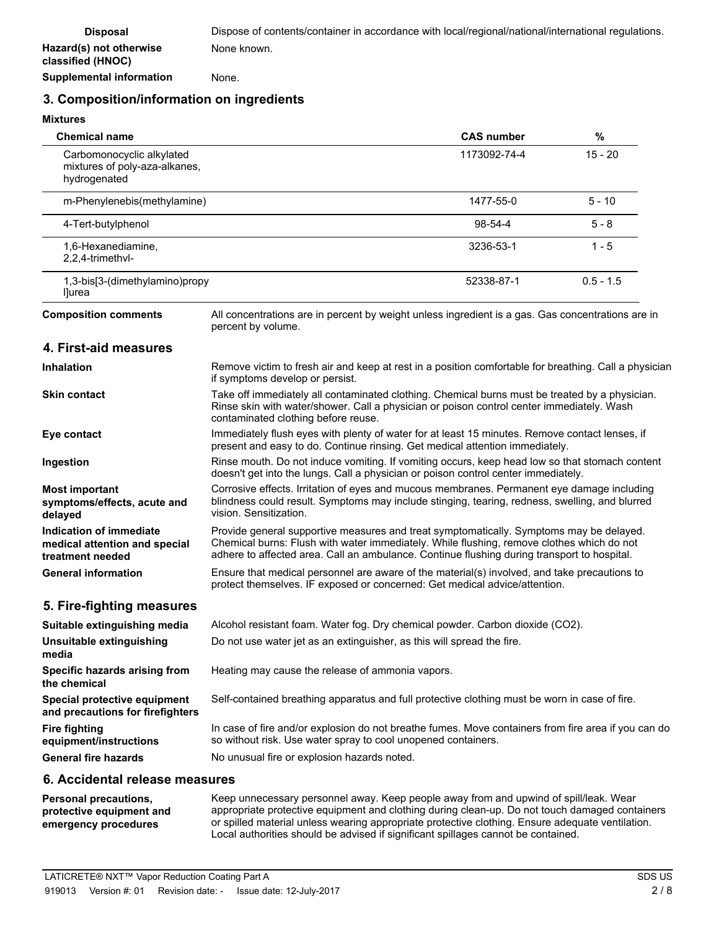**Supplemental information** None.

### **3. Composition/information on ingredients**

### **Mixtures**

| <b>Chemical name</b>                                                         |                                                                                                                                                                                                                                                                                     | <b>CAS number</b> | $\%$        |
|------------------------------------------------------------------------------|-------------------------------------------------------------------------------------------------------------------------------------------------------------------------------------------------------------------------------------------------------------------------------------|-------------------|-------------|
| Carbomonocyclic alkylated<br>mixtures of poly-aza-alkanes,<br>hydrogenated   |                                                                                                                                                                                                                                                                                     | 1173092-74-4      | $15 - 20$   |
| m-Phenylenebis(methylamine)                                                  |                                                                                                                                                                                                                                                                                     | 1477-55-0         | $5 - 10$    |
| 4-Tert-butylphenol                                                           |                                                                                                                                                                                                                                                                                     | 98-54-4           | 5 - 8       |
| 1,6-Hexanediamine,<br>2,2,4-trimethvl-                                       |                                                                                                                                                                                                                                                                                     | 3236-53-1         | $1 - 5$     |
| 1,3-bis[3-(dimethylamino)propy<br>llurea                                     |                                                                                                                                                                                                                                                                                     | 52338-87-1        | $0.5 - 1.5$ |
| <b>Composition comments</b>                                                  | All concentrations are in percent by weight unless ingredient is a gas. Gas concentrations are in<br>percent by volume.                                                                                                                                                             |                   |             |
| 4. First-aid measures                                                        |                                                                                                                                                                                                                                                                                     |                   |             |
| Inhalation                                                                   | Remove victim to fresh air and keep at rest in a position comfortable for breathing. Call a physician<br>if symptoms develop or persist.                                                                                                                                            |                   |             |
| <b>Skin contact</b>                                                          | Take off immediately all contaminated clothing. Chemical burns must be treated by a physician.<br>Rinse skin with water/shower. Call a physician or poison control center immediately. Wash<br>contaminated clothing before reuse.                                                  |                   |             |
| Eye contact                                                                  | Immediately flush eyes with plenty of water for at least 15 minutes. Remove contact lenses, if<br>present and easy to do. Continue rinsing. Get medical attention immediately.                                                                                                      |                   |             |
| Ingestion                                                                    | Rinse mouth. Do not induce vomiting. If vomiting occurs, keep head low so that stomach content<br>doesn't get into the lungs. Call a physician or poison control center immediately.                                                                                                |                   |             |
| <b>Most important</b><br>symptoms/effects, acute and<br>delayed              | Corrosive effects. Irritation of eyes and mucous membranes. Permanent eye damage including<br>blindness could result. Symptoms may include stinging, tearing, redness, swelling, and blurred<br>vision. Sensitization.                                                              |                   |             |
| Indication of immediate<br>medical attention and special<br>treatment needed | Provide general supportive measures and treat symptomatically. Symptoms may be delayed.<br>Chemical burns: Flush with water immediately. While flushing, remove clothes which do not<br>adhere to affected area. Call an ambulance. Continue flushing during transport to hospital. |                   |             |
| <b>General information</b>                                                   | Ensure that medical personnel are aware of the material(s) involved, and take precautions to<br>protect themselves. IF exposed or concerned: Get medical advice/attention.                                                                                                          |                   |             |
| 5. Fire-fighting measures                                                    |                                                                                                                                                                                                                                                                                     |                   |             |
| Suitable extinguishing media                                                 | Alcohol resistant foam. Water fog. Dry chemical powder. Carbon dioxide (CO2).                                                                                                                                                                                                       |                   |             |
| Unsuitable extinguishing<br>media                                            | Do not use water jet as an extinguisher, as this will spread the fire.                                                                                                                                                                                                              |                   |             |
| Specific hazards arising from<br>the chemical                                | Heating may cause the release of ammonia vapors.                                                                                                                                                                                                                                    |                   |             |
| Special protective equipment<br>and precautions for firefighters             | Self-contained breathing apparatus and full protective clothing must be worn in case of fire.                                                                                                                                                                                       |                   |             |
| <b>Fire fighting</b><br>equipment/instructions                               | In case of fire and/or explosion do not breathe fumes. Move containers from fire area if you can do<br>so without risk. Use water spray to cool unopened containers.                                                                                                                |                   |             |
| <b>General fire hazards</b>                                                  | No unusual fire or explosion hazards noted.                                                                                                                                                                                                                                         |                   |             |

### **6. Accidental release measures**

Keep unnecessary personnel away. Keep people away from and upwind of spill/leak. Wear appropriate protective equipment and clothing during clean-up. Do not touch damaged containers or spilled material unless wearing appropriate protective clothing. Ensure adequate ventilation. Local authorities should be advised if significant spillages cannot be contained. **Personal precautions, protective equipment and emergency procedures**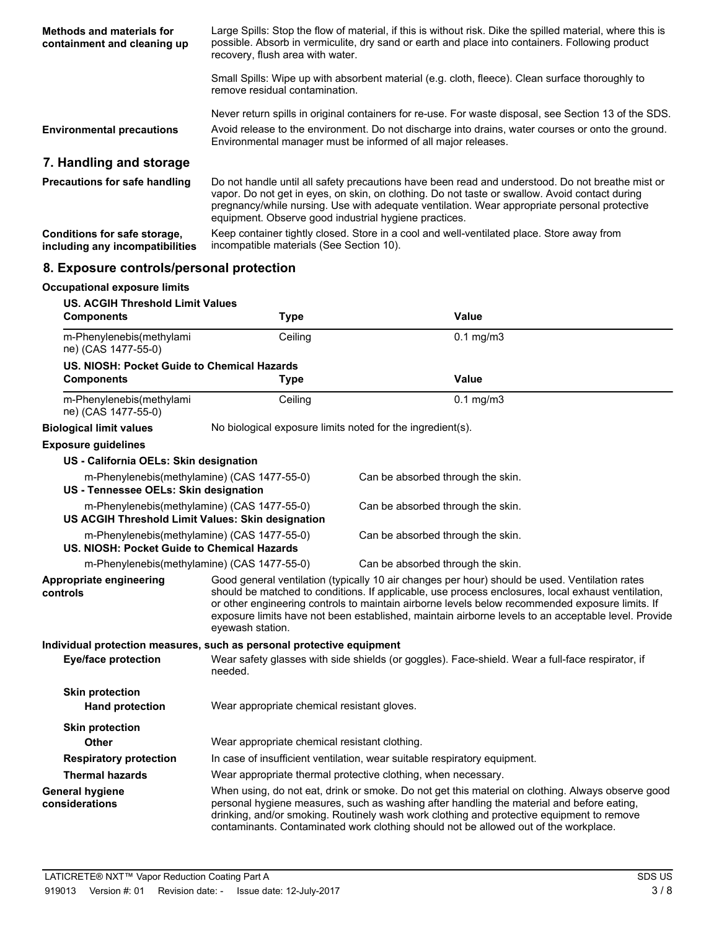| Methods and materials for<br>containment and cleaning up        | Large Spills: Stop the flow of material, if this is without risk. Dike the spilled material, where this is<br>possible. Absorb in vermiculite, dry sand or earth and place into containers. Following product<br>recovery, flush area with water.                                                                                                           |
|-----------------------------------------------------------------|-------------------------------------------------------------------------------------------------------------------------------------------------------------------------------------------------------------------------------------------------------------------------------------------------------------------------------------------------------------|
|                                                                 | Small Spills: Wipe up with absorbent material (e.g. cloth, fleece). Clean surface thoroughly to<br>remove residual contamination.                                                                                                                                                                                                                           |
| <b>Environmental precautions</b>                                | Never return spills in original containers for re-use. For waste disposal, see Section 13 of the SDS.<br>Avoid release to the environment. Do not discharge into drains, water courses or onto the ground.<br>Environmental manager must be informed of all major releases.                                                                                 |
| 7. Handling and storage                                         |                                                                                                                                                                                                                                                                                                                                                             |
| <b>Precautions for safe handling</b>                            | Do not handle until all safety precautions have been read and understood. Do not breathe mist or<br>vapor. Do not get in eyes, on skin, on clothing. Do not taste or swallow. Avoid contact during<br>pregnancy/while nursing. Use with adequate ventilation. Wear appropriate personal protective<br>equipment. Observe good industrial hygiene practices. |
| Conditions for safe storage,<br>including any incompatibilities | Keep container tightly closed. Store in a cool and well-ventilated place. Store away from<br>incompatible materials (See Section 10).                                                                                                                                                                                                                       |

# **8. Exposure controls/personal protection**

| <b>Occupational exposure limits</b>                                                              |                                                                                                             |                                                                                                                                                                                                                                                                                                                                                                                                                |
|--------------------------------------------------------------------------------------------------|-------------------------------------------------------------------------------------------------------------|----------------------------------------------------------------------------------------------------------------------------------------------------------------------------------------------------------------------------------------------------------------------------------------------------------------------------------------------------------------------------------------------------------------|
| <b>US. ACGIH Threshold Limit Values</b><br><b>Components</b>                                     | <b>Type</b>                                                                                                 | Value                                                                                                                                                                                                                                                                                                                                                                                                          |
| m-Phenylenebis(methylami<br>ne) (CAS 1477-55-0)                                                  | Ceiling                                                                                                     | $0.1$ mg/m3                                                                                                                                                                                                                                                                                                                                                                                                    |
| US. NIOSH: Pocket Guide to Chemical Hazards                                                      |                                                                                                             |                                                                                                                                                                                                                                                                                                                                                                                                                |
| <b>Components</b>                                                                                | <b>Type</b>                                                                                                 | <b>Value</b>                                                                                                                                                                                                                                                                                                                                                                                                   |
| m-Phenylenebis(methylami<br>ne) (CAS 1477-55-0)                                                  | Ceiling                                                                                                     | $0.1$ mg/m $3$                                                                                                                                                                                                                                                                                                                                                                                                 |
| <b>Biological limit values</b>                                                                   | No biological exposure limits noted for the ingredient(s).                                                  |                                                                                                                                                                                                                                                                                                                                                                                                                |
| <b>Exposure guidelines</b>                                                                       |                                                                                                             |                                                                                                                                                                                                                                                                                                                                                                                                                |
| US - California OELs: Skin designation                                                           |                                                                                                             |                                                                                                                                                                                                                                                                                                                                                                                                                |
| m-Phenylenebis(methylamine) (CAS 1477-55-0)<br>US - Tennessee OELs: Skin designation             |                                                                                                             | Can be absorbed through the skin.                                                                                                                                                                                                                                                                                                                                                                              |
| m-Phenylenebis(methylamine) (CAS 1477-55-0)<br>US ACGIH Threshold Limit Values: Skin designation |                                                                                                             | Can be absorbed through the skin.                                                                                                                                                                                                                                                                                                                                                                              |
| m-Phenylenebis(methylamine) (CAS 1477-55-0)<br>US. NIOSH: Pocket Guide to Chemical Hazards       |                                                                                                             | Can be absorbed through the skin.                                                                                                                                                                                                                                                                                                                                                                              |
| m-Phenylenebis(methylamine) (CAS 1477-55-0)                                                      |                                                                                                             | Can be absorbed through the skin.                                                                                                                                                                                                                                                                                                                                                                              |
| Appropriate engineering<br>controls                                                              | eyewash station.                                                                                            | Good general ventilation (typically 10 air changes per hour) should be used. Ventilation rates<br>should be matched to conditions. If applicable, use process enclosures, local exhaust ventilation,<br>or other engineering controls to maintain airborne levels below recommended exposure limits. If<br>exposure limits have not been established, maintain airborne levels to an acceptable level. Provide |
| Individual protection measures, such as personal protective equipment                            |                                                                                                             |                                                                                                                                                                                                                                                                                                                                                                                                                |
| <b>Eye/face protection</b>                                                                       | Wear safety glasses with side shields (or goggles). Face-shield. Wear a full-face respirator, if<br>needed. |                                                                                                                                                                                                                                                                                                                                                                                                                |
| <b>Skin protection</b><br><b>Hand protection</b>                                                 | Wear appropriate chemical resistant gloves.                                                                 |                                                                                                                                                                                                                                                                                                                                                                                                                |
| <b>Skin protection</b>                                                                           |                                                                                                             |                                                                                                                                                                                                                                                                                                                                                                                                                |
| Other                                                                                            | Wear appropriate chemical resistant clothing.                                                               |                                                                                                                                                                                                                                                                                                                                                                                                                |
| <b>Respiratory protection</b>                                                                    | In case of insufficient ventilation, wear suitable respiratory equipment.                                   |                                                                                                                                                                                                                                                                                                                                                                                                                |
| <b>Thermal hazards</b>                                                                           |                                                                                                             | Wear appropriate thermal protective clothing, when necessary.                                                                                                                                                                                                                                                                                                                                                  |
| <b>General hygiene</b><br>considerations                                                         |                                                                                                             | When using, do not eat, drink or smoke. Do not get this material on clothing. Always observe good<br>personal hygiene measures, such as washing after handling the material and before eating,<br>drinking, and/or smoking. Routinely wash work clothing and protective equipment to remove<br>contaminants. Contaminated work clothing should not be allowed out of the workplace.                            |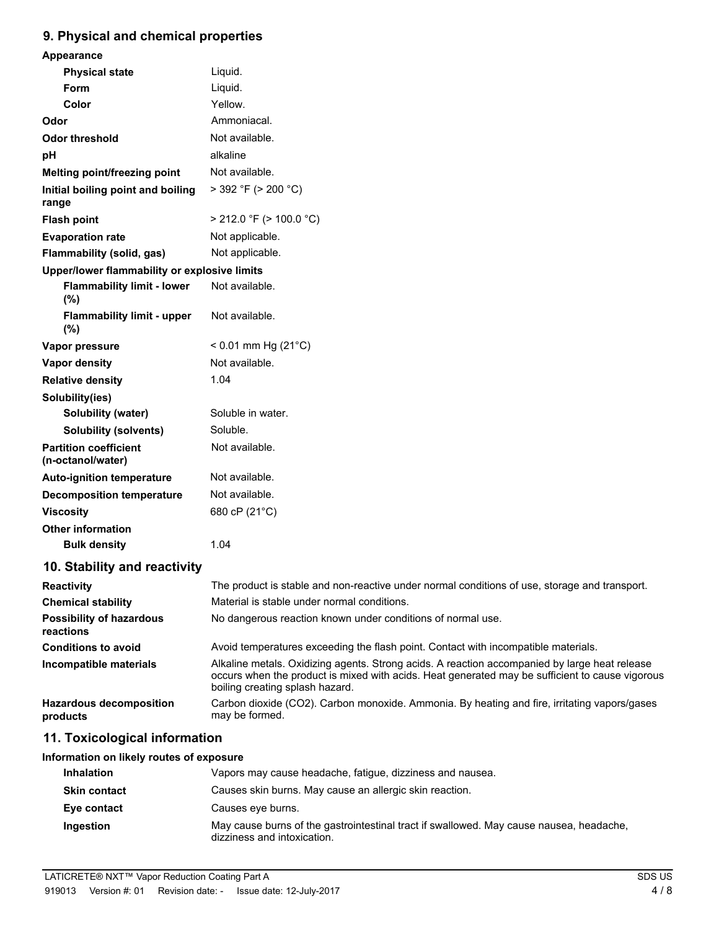# **9. Physical and chemical properties**

| Appearance                                        |                                                                                               |
|---------------------------------------------------|-----------------------------------------------------------------------------------------------|
| <b>Physical state</b>                             | Liquid.                                                                                       |
| <b>Form</b>                                       | Liquid.                                                                                       |
| Color                                             | Yellow.                                                                                       |
| Odor                                              | Ammoniacal.                                                                                   |
| <b>Odor threshold</b>                             | Not available.                                                                                |
| pH                                                | alkaline                                                                                      |
| Melting point/freezing point                      | Not available.                                                                                |
| Initial boiling point and boiling<br>range        | $>$ 392 °F ( $>$ 200 °C)                                                                      |
| <b>Flash point</b>                                | $>$ 212.0 °F ( $>$ 100.0 °C)                                                                  |
| <b>Evaporation rate</b>                           | Not applicable.                                                                               |
| <b>Flammability (solid, gas)</b>                  | Not applicable.                                                                               |
| Upper/lower flammability or explosive limits      |                                                                                               |
| <b>Flammability limit - lower</b><br>(%)          | Not available.                                                                                |
| <b>Flammability limit - upper</b><br>(%)          | Not available.                                                                                |
| Vapor pressure                                    | $< 0.01$ mm Hg (21 $^{\circ}$ C)                                                              |
| Vapor density                                     | Not available.                                                                                |
| <b>Relative density</b>                           | 1.04                                                                                          |
| Solubility(ies)                                   |                                                                                               |
| Solubility (water)                                | Soluble in water.                                                                             |
| <b>Solubility (solvents)</b>                      | Soluble.                                                                                      |
| <b>Partition coefficient</b><br>(n-octanol/water) | Not available.                                                                                |
| <b>Auto-ignition temperature</b>                  | Not available.                                                                                |
| <b>Decomposition temperature</b>                  | Not available.                                                                                |
| <b>Viscosity</b>                                  | 680 cP (21°C)                                                                                 |
| <b>Other information</b>                          |                                                                                               |
| <b>Bulk density</b>                               | 1.04                                                                                          |
| 10. Stability and reactivity                      |                                                                                               |
| Reactivity                                        | The product is stable and non-reactive under normal conditions of use, storage and transport. |
|                                                   |                                                                                               |

| Reactivity                                   | The product is stable and non-reactive under normal conditions of use, storage and transport.                                                                                                                                       |
|----------------------------------------------|-------------------------------------------------------------------------------------------------------------------------------------------------------------------------------------------------------------------------------------|
| <b>Chemical stability</b>                    | Material is stable under normal conditions.                                                                                                                                                                                         |
| <b>Possibility of hazardous</b><br>reactions | No dangerous reaction known under conditions of normal use.                                                                                                                                                                         |
| <b>Conditions to avoid</b>                   | Avoid temperatures exceeding the flash point. Contact with incompatible materials.                                                                                                                                                  |
| Incompatible materials                       | Alkaline metals. Oxidizing agents. Strong acids. A reaction accompanied by large heat release<br>occurs when the product is mixed with acids. Heat generated may be sufficient to cause vigorous<br>boiling creating splash hazard. |
| <b>Hazardous decomposition</b><br>products   | Carbon dioxide (CO2). Carbon monoxide. Ammonia. By heating and fire, irritating vapors/gases<br>may be formed.                                                                                                                      |
|                                              |                                                                                                                                                                                                                                     |

# **11. Toxicological information**

### **Information on likely routes of exposure**

| <b>Inhalation</b>   | Vapors may cause headache, fatique, dizziness and nausea.                                                              |
|---------------------|------------------------------------------------------------------------------------------------------------------------|
| <b>Skin contact</b> | Causes skin burns. May cause an allergic skin reaction.                                                                |
| Eye contact         | Causes eye burns.                                                                                                      |
| Ingestion           | May cause burns of the gastrointestinal tract if swallowed. May cause nausea, headache,<br>dizziness and intoxication. |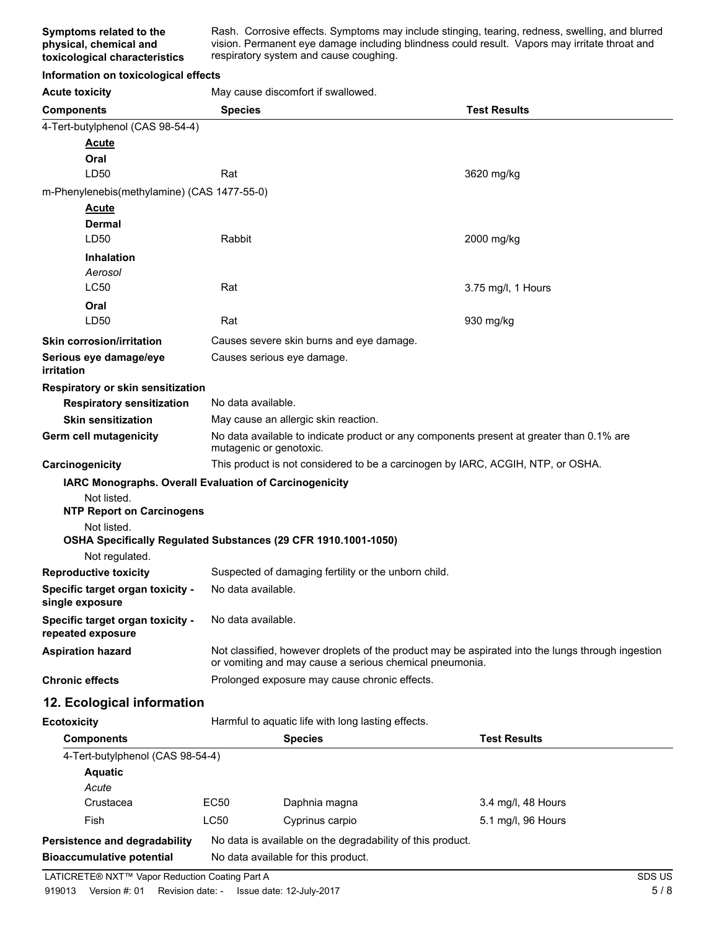Rash. Corrosive effects. Symptoms may include stinging, tearing, redness, swelling, and blurred vision. Permanent eye damage including blindness could result. Vapors may irritate throat and respiratory system and cause coughing.

### **Information on toxicological effects**

Acute toxicity **May cause discomfort if swallowed.** 

| <b>Components</b>                                                                | <b>Test Results</b><br><b>Species</b>                                                                                                                        |                                                    |                     |
|----------------------------------------------------------------------------------|--------------------------------------------------------------------------------------------------------------------------------------------------------------|----------------------------------------------------|---------------------|
| 4-Tert-butylphenol (CAS 98-54-4)                                                 |                                                                                                                                                              |                                                    |                     |
| <b>Acute</b>                                                                     |                                                                                                                                                              |                                                    |                     |
| Oral                                                                             |                                                                                                                                                              |                                                    |                     |
| LD50                                                                             | Rat                                                                                                                                                          |                                                    | 3620 mg/kg          |
| m-Phenylenebis(methylamine) (CAS 1477-55-0)                                      |                                                                                                                                                              |                                                    |                     |
| <b>Acute</b><br>Dermal                                                           |                                                                                                                                                              |                                                    |                     |
| LD50                                                                             | Rabbit                                                                                                                                                       |                                                    | 2000 mg/kg          |
| <b>Inhalation</b>                                                                |                                                                                                                                                              |                                                    |                     |
| Aerosol                                                                          |                                                                                                                                                              |                                                    |                     |
| <b>LC50</b>                                                                      | Rat                                                                                                                                                          |                                                    | 3.75 mg/l, 1 Hours  |
| Oral                                                                             |                                                                                                                                                              |                                                    |                     |
| LD50                                                                             | Rat                                                                                                                                                          |                                                    | 930 mg/kg           |
| <b>Skin corrosion/irritation</b>                                                 |                                                                                                                                                              | Causes severe skin burns and eye damage.           |                     |
| Serious eye damage/eye<br><i>irritation</i>                                      |                                                                                                                                                              | Causes serious eye damage.                         |                     |
| Respiratory or skin sensitization                                                |                                                                                                                                                              |                                                    |                     |
| <b>Respiratory sensitization</b>                                                 | No data available.                                                                                                                                           |                                                    |                     |
| <b>Skin sensitization</b>                                                        |                                                                                                                                                              | May cause an allergic skin reaction.               |                     |
| Germ cell mutagenicity                                                           | No data available to indicate product or any components present at greater than 0.1% are<br>mutagenic or genotoxic.                                          |                                                    |                     |
| Carcinogenicity                                                                  | This product is not considered to be a carcinogen by IARC, ACGIH, NTP, or OSHA.                                                                              |                                                    |                     |
| IARC Monographs. Overall Evaluation of Carcinogenicity                           |                                                                                                                                                              |                                                    |                     |
| Not listed.<br><b>NTP Report on Carcinogens</b>                                  |                                                                                                                                                              |                                                    |                     |
| Not listed.                                                                      |                                                                                                                                                              |                                                    |                     |
| OSHA Specifically Regulated Substances (29 CFR 1910.1001-1050)<br>Not regulated. |                                                                                                                                                              |                                                    |                     |
| <b>Reproductive toxicity</b>                                                     | Suspected of damaging fertility or the unborn child.                                                                                                         |                                                    |                     |
| Specific target organ toxicity -<br>single exposure                              | No data available.                                                                                                                                           |                                                    |                     |
| Specific target organ toxicity -<br>repeated exposure                            | No data available.                                                                                                                                           |                                                    |                     |
| <b>Aspiration hazard</b>                                                         | Not classified, however droplets of the product may be aspirated into the lungs through ingestion<br>or vomiting and may cause a serious chemical pneumonia. |                                                    |                     |
| <b>Chronic effects</b>                                                           | Prolonged exposure may cause chronic effects.                                                                                                                |                                                    |                     |
| 12. Ecological information                                                       |                                                                                                                                                              |                                                    |                     |
| <b>Ecotoxicity</b>                                                               |                                                                                                                                                              | Harmful to aquatic life with long lasting effects. |                     |
| <b>Components</b>                                                                |                                                                                                                                                              | <b>Species</b>                                     | <b>Test Results</b> |
| 4-Tert-butylphenol (CAS 98-54-4)                                                 |                                                                                                                                                              |                                                    |                     |
| <b>Aquatic</b>                                                                   |                                                                                                                                                              |                                                    |                     |
| Acute<br>Crustacea                                                               | EC50                                                                                                                                                         |                                                    | 3.4 mg/l, 48 Hours  |
| Fish                                                                             | <b>LC50</b>                                                                                                                                                  | Daphnia magna                                      |                     |
|                                                                                  |                                                                                                                                                              | Cyprinus carpio                                    | 5.1 mg/l, 96 Hours  |
| Persistence and degradability                                                    | No data is available on the degradability of this product.                                                                                                   |                                                    |                     |
| <b>Bioaccumulative potential</b>                                                 | No data available for this product.                                                                                                                          |                                                    |                     |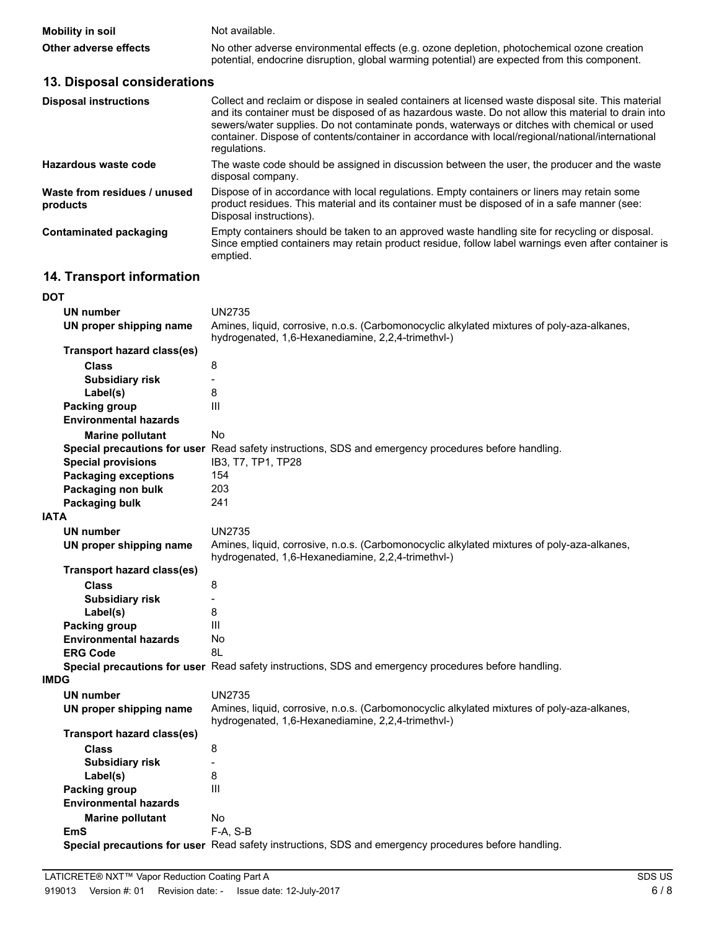| <b>Mobility in soil</b> | Not available.                                                                                                                                                                             |
|-------------------------|--------------------------------------------------------------------------------------------------------------------------------------------------------------------------------------------|
| Other adverse effects   | No other adverse environmental effects (e.g. ozone depletion, photochemical ozone creation<br>potential, endocrine disruption, global warming potential) are expected from this component. |

# **13. Disposal considerations**

| <b>Disposal instructions</b>             | Collect and reclaim or dispose in sealed containers at licensed waste disposal site. This material<br>and its container must be disposed of as hazardous waste. Do not allow this material to drain into<br>sewers/water supplies. Do not contaminate ponds, waterways or ditches with chemical or used<br>container. Dispose of contents/container in accordance with local/regional/national/international<br>regulations. |
|------------------------------------------|------------------------------------------------------------------------------------------------------------------------------------------------------------------------------------------------------------------------------------------------------------------------------------------------------------------------------------------------------------------------------------------------------------------------------|
| Hazardous waste code                     | The waste code should be assigned in discussion between the user, the producer and the waste<br>disposal company.                                                                                                                                                                                                                                                                                                            |
| Waste from residues / unused<br>products | Dispose of in accordance with local regulations. Empty containers or liners may retain some<br>product residues. This material and its container must be disposed of in a safe manner (see:<br>Disposal instructions).                                                                                                                                                                                                       |
| Contaminated packaging                   | Empty containers should be taken to an approved waste handling site for recycling or disposal.<br>Since emptied containers may retain product residue, follow label warnings even after container is<br>emptied.                                                                                                                                                                                                             |

# **14. Transport information**

#### **DOT**

| <b>UN number</b>                  | <b>UN2735</b>                                                                                                                                    |
|-----------------------------------|--------------------------------------------------------------------------------------------------------------------------------------------------|
| UN proper shipping name           | Amines, liquid, corrosive, n.o.s. (Carbomonocyclic alkylated mixtures of poly-aza-alkanes,<br>hydrogenated, 1,6-Hexanediamine, 2,2,4-trimethvl-) |
| Transport hazard class(es)        |                                                                                                                                                  |
| <b>Class</b>                      | 8                                                                                                                                                |
| <b>Subsidiary risk</b>            | $\overline{a}$                                                                                                                                   |
| Label(s)                          | 8                                                                                                                                                |
| Packing group                     | Ш                                                                                                                                                |
| <b>Environmental hazards</b>      |                                                                                                                                                  |
| <b>Marine pollutant</b>           | No                                                                                                                                               |
|                                   | Special precautions for user Read safety instructions, SDS and emergency procedures before handling.                                             |
| <b>Special provisions</b>         | IB3, T7, TP1, TP28                                                                                                                               |
| <b>Packaging exceptions</b>       | 154                                                                                                                                              |
| Packaging non bulk                | 203                                                                                                                                              |
| Packaging bulk                    | 241                                                                                                                                              |
| <b>IATA</b>                       |                                                                                                                                                  |
| <b>UN number</b>                  | <b>UN2735</b>                                                                                                                                    |
| UN proper shipping name           | Amines, liquid, corrosive, n.o.s. (Carbomonocyclic alkylated mixtures of poly-aza-alkanes,<br>hydrogenated, 1,6-Hexanediamine, 2,2,4-trimethvl-) |
| <b>Transport hazard class(es)</b> |                                                                                                                                                  |
| <b>Class</b>                      | 8                                                                                                                                                |
| <b>Subsidiary risk</b>            |                                                                                                                                                  |
| Label(s)                          | 8                                                                                                                                                |
| <b>Packing group</b>              | III                                                                                                                                              |
| <b>Environmental hazards</b>      | No                                                                                                                                               |
| <b>ERG Code</b>                   | 8L                                                                                                                                               |
|                                   | Special precautions for user Read safety instructions, SDS and emergency procedures before handling.                                             |
| <b>IMDG</b>                       |                                                                                                                                                  |
| <b>UN number</b>                  | <b>UN2735</b>                                                                                                                                    |
| UN proper shipping name           | Amines, liquid, corrosive, n.o.s. (Carbomonocyclic alkylated mixtures of poly-aza-alkanes,<br>hydrogenated, 1,6-Hexanediamine, 2,2,4-trimethvl-) |
| <b>Transport hazard class(es)</b> |                                                                                                                                                  |
| <b>Class</b>                      | 8                                                                                                                                                |
| <b>Subsidiary risk</b>            | $\overline{a}$                                                                                                                                   |
| Label(s)                          | 8                                                                                                                                                |
| Packing group                     | III                                                                                                                                              |
| <b>Environmental hazards</b>      |                                                                                                                                                  |
| <b>Marine pollutant</b>           | No                                                                                                                                               |
| <b>EmS</b>                        | F-A, S-B                                                                                                                                         |
|                                   | Special precautions for user Read safety instructions, SDS and emergency procedures before handling.                                             |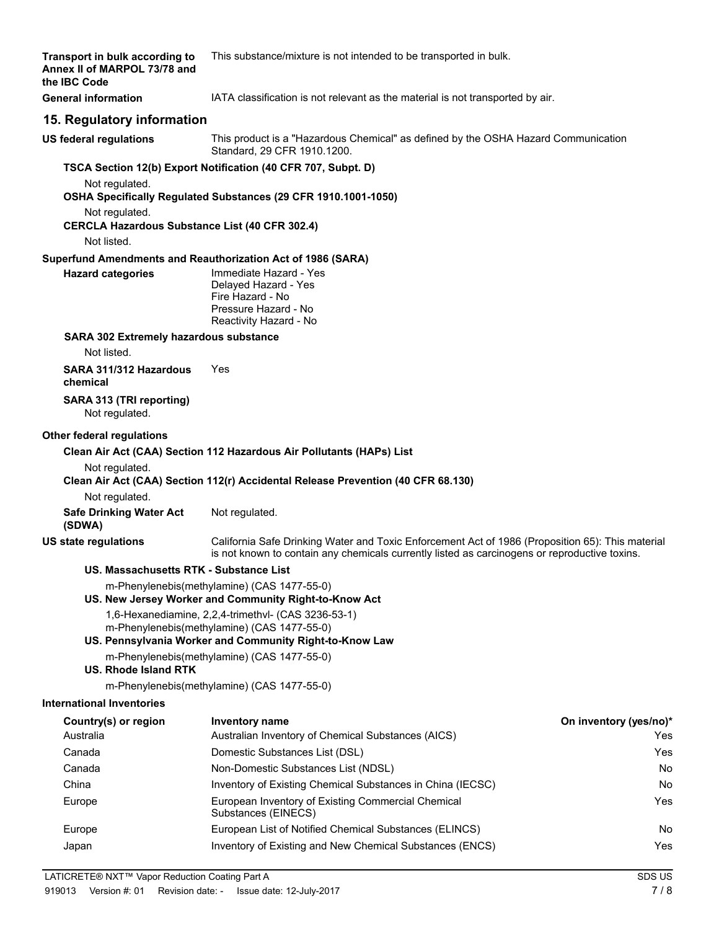| Transport in bulk according to<br>Annex II of MARPOL 73/78 and<br>the IBC Code          | This substance/mixture is not intended to be transported in bulk.                                                                                                                                 |            |
|-----------------------------------------------------------------------------------------|---------------------------------------------------------------------------------------------------------------------------------------------------------------------------------------------------|------------|
| <b>General information</b>                                                              | IATA classification is not relevant as the material is not transported by air.                                                                                                                    |            |
| 15. Regulatory information                                                              |                                                                                                                                                                                                   |            |
| <b>US federal regulations</b>                                                           | This product is a "Hazardous Chemical" as defined by the OSHA Hazard Communication<br>Standard, 29 CFR 1910.1200.                                                                                 |            |
|                                                                                         | TSCA Section 12(b) Export Notification (40 CFR 707, Subpt. D)                                                                                                                                     |            |
| Not regulated.                                                                          | OSHA Specifically Regulated Substances (29 CFR 1910.1001-1050)                                                                                                                                    |            |
| Not regulated.<br><b>CERCLA Hazardous Substance List (40 CFR 302.4)</b>                 |                                                                                                                                                                                                   |            |
| Not listed.                                                                             |                                                                                                                                                                                                   |            |
| Superfund Amendments and Reauthorization Act of 1986 (SARA)<br><b>Hazard categories</b> | Immediate Hazard - Yes<br>Delayed Hazard - Yes<br>Fire Hazard - No<br>Pressure Hazard - No<br>Reactivity Hazard - No                                                                              |            |
| SARA 302 Extremely hazardous substance<br>Not listed.                                   |                                                                                                                                                                                                   |            |
| SARA 311/312 Hazardous<br>chemical                                                      | Yes                                                                                                                                                                                               |            |
| SARA 313 (TRI reporting)<br>Not regulated.                                              |                                                                                                                                                                                                   |            |
| Not regulated.<br>Not regulated.                                                        | Clean Air Act (CAA) Section 112 Hazardous Air Pollutants (HAPs) List<br>Clean Air Act (CAA) Section 112(r) Accidental Release Prevention (40 CFR 68.130)                                          |            |
| <b>Safe Drinking Water Act</b><br>(SDWA)                                                | Not regulated.                                                                                                                                                                                    |            |
| US state regulations                                                                    | California Safe Drinking Water and Toxic Enforcement Act of 1986 (Proposition 65): This material<br>is not known to contain any chemicals currently listed as carcinogens or reproductive toxins. |            |
| US. Massachusetts RTK - Substance List                                                  |                                                                                                                                                                                                   |            |
|                                                                                         | m-Phenylenebis(methylamine) (CAS 1477-55-0)<br>US. New Jersey Worker and Community Right-to-Know Act                                                                                              |            |
|                                                                                         | 1,6-Hexanediamine, 2,2,4-trimethyl- (CAS 3236-53-1)<br>m-Phenylenebis(methylamine) (CAS 1477-55-0)<br>US. Pennsylvania Worker and Community Right-to-Know Law                                     |            |
| <b>US. Rhode Island RTK</b>                                                             | m-Phenylenebis(methylamine) (CAS 1477-55-0)                                                                                                                                                       |            |
|                                                                                         | m-Phenylenebis(methylamine) (CAS 1477-55-0)                                                                                                                                                       |            |
| <b>International Inventories</b>                                                        |                                                                                                                                                                                                   |            |
| Country(s) or region                                                                    | On inventory (yes/no)*<br>Inventory name                                                                                                                                                          |            |
| Australia<br>Canada                                                                     | Australian Inventory of Chemical Substances (AICS)<br>Domestic Substances List (DSL)                                                                                                              | Yes<br>Yes |
| Canada                                                                                  | Non-Domestic Substances List (NDSL)                                                                                                                                                               | No         |
| China                                                                                   | Inventory of Existing Chemical Substances in China (IECSC)                                                                                                                                        | No         |
| Europe                                                                                  | European Inventory of Existing Commercial Chemical<br>Substances (EINECS)                                                                                                                         | Yes        |
| Europe                                                                                  | European List of Notified Chemical Substances (ELINCS)                                                                                                                                            | No         |
| Japan                                                                                   | Inventory of Existing and New Chemical Substances (ENCS)                                                                                                                                          | Yes        |